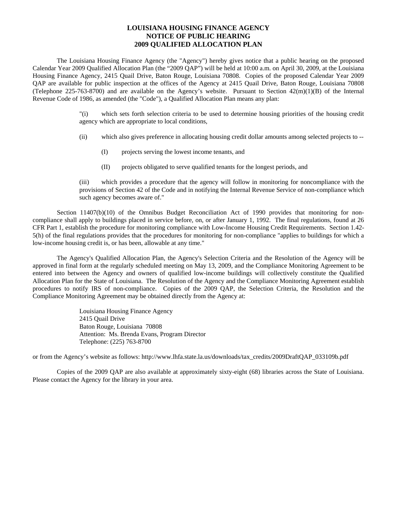## **LOUISIANA HOUSING FINANCE AGENCY NOTICE OF PUBLIC HEARING 2009 QUALIFIED ALLOCATION PLAN**

 The Louisiana Housing Finance Agency (the "Agency") hereby gives notice that a public hearing on the proposed Calendar Year 2009 Qualified Allocation Plan (the "2009 QAP") will be held at 10:00 a.m. on April 30, 2009, at the Louisiana Housing Finance Agency, 2415 Quail Drive, Baton Rouge, Louisiana 70808. Copies of the proposed Calendar Year 2009 QAP are available for public inspection at the offices of the Agency at 2415 Quail Drive, Baton Rouge, Louisiana 70808 (Telephone 225-763-8700) and are available on the Agency's website. Pursuant to Section  $42(m)(1)(B)$  of the Internal Revenue Code of 1986, as amended (the "Code"), a Qualified Allocation Plan means any plan:

> "(i) which sets forth selection criteria to be used to determine housing priorities of the housing credit agency which are appropriate to local conditions,

- (ii) which also gives preference in allocating housing credit dollar amounts among selected projects to --
	- (I) projects serving the lowest income tenants, and
	- (II) projects obligated to serve qualified tenants for the longest periods, and

(iii) which provides a procedure that the agency will follow in monitoring for noncompliance with the provisions of Section 42 of the Code and in notifying the Internal Revenue Service of non-compliance which such agency becomes aware of."

Section 11407(b)(10) of the Omnibus Budget Reconciliation Act of 1990 provides that monitoring for noncompliance shall apply to buildings placed in service before, on, or after January 1, 1992. The final regulations, found at 26 CFR Part 1, establish the procedure for monitoring compliance with Low-Income Housing Credit Requirements. Section 1.42- 5(h) of the final regulations provides that the procedures for monitoring for non-compliance "applies to buildings for which a low-income housing credit is, or has been, allowable at any time."

 The Agency's Qualified Allocation Plan, the Agency's Selection Criteria and the Resolution of the Agency will be approved in final form at the regularly scheduled meeting on May 13, 2009, and the Compliance Monitoring Agreement to be entered into between the Agency and owners of qualified low-income buildings will collectively constitute the Qualified Allocation Plan for the State of Louisiana. The Resolution of the Agency and the Compliance Monitoring Agreement establish procedures to notify IRS of non-compliance. Copies of the 2009 QAP, the Selection Criteria, the Resolution and the Compliance Monitoring Agreement may be obtained directly from the Agency at:

> Louisiana Housing Finance Agency 2415 Quail Drive Baton Rouge, Louisiana 70808 Attention: Ms. Brenda Evans, Program Director Telephone: (225) 763-8700

or from the Agency's website as follows: http://www.lhfa.state.la.us/downloads/tax\_credits/2009DraftQAP\_033109b.pdf

 Copies of the 2009 QAP are also available at approximately sixty-eight (68) libraries across the State of Louisiana. Please contact the Agency for the library in your area.